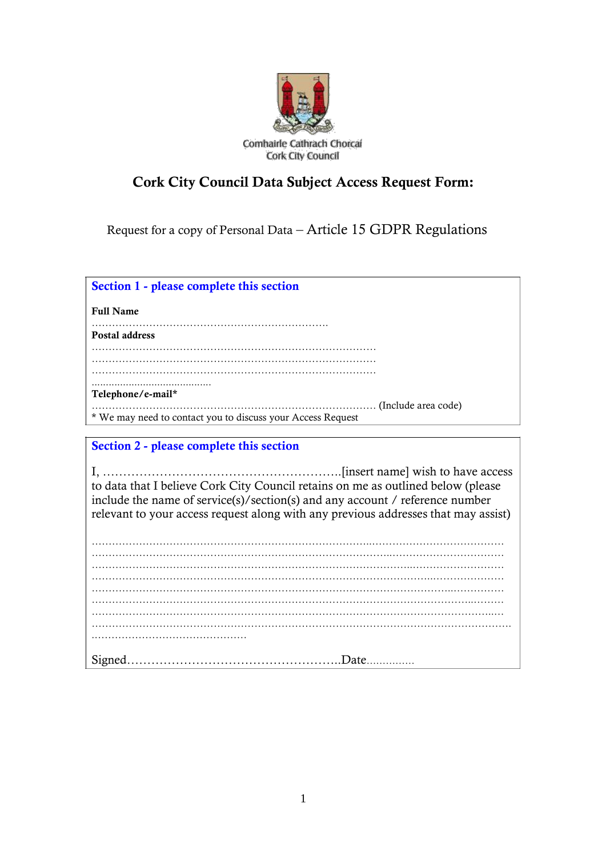

# **Cork City Council Data Subject Access Request Form:**

Request for a copy of Personal Data – Article 15 GDPR Regulations

**Section 1 - please complete this section**

**Full Name**

**Postal address**

…………………………………………………………………………

………………………………………………………………………… …………………………………………………………………………

..........................................

**Telephone/e-mail\***

………………………………………………………………………… (Include area code)

\* We may need to contact you to discuss your Access Request

# **Section 2 - please complete this section**

I, …………………………………………………..[insert name] wish to have access to data that I believe Cork City Council retains on me as outlined below (please include the name of service(s)/section(s) and any account / reference number relevant to your access request along with any previous addresses that may assist)

………………………………………………………………………..………………………………… ……………………………………………………………………………..…………………………… …………………………………………………………………………………..……………………… …………………………………………………………………………………………………..……… ………………………………………………………………………………………………………..… ……………………………………………………………………………………………………………. .……………………………………… Signed……………………………………………..Date……………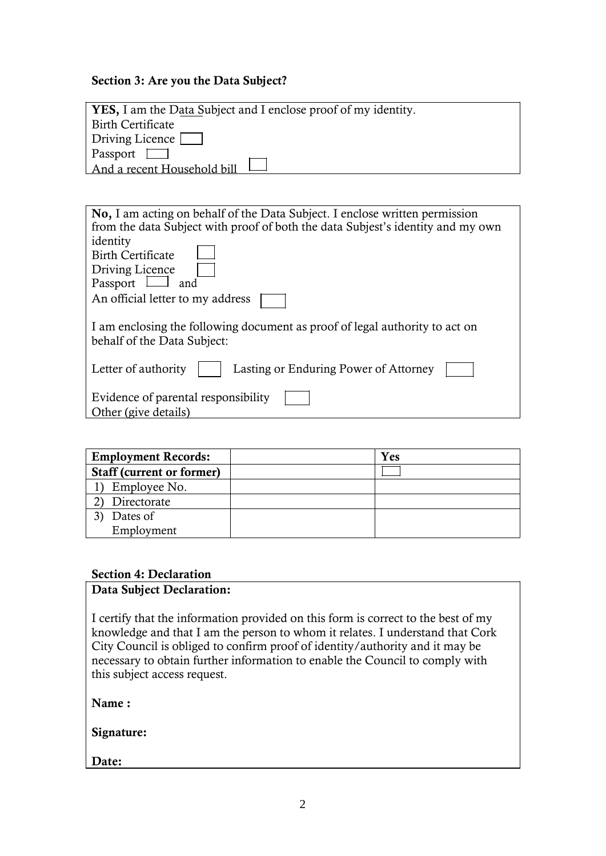#### **Section 3: Are you the Data Subject?**

| <b>YES</b> , I am the Data Subject and I enclose proof of my identity.                                                                                               |
|----------------------------------------------------------------------------------------------------------------------------------------------------------------------|
| Birth Certificate                                                                                                                                                    |
| Driving Licence                                                                                                                                                      |
| Passport                                                                                                                                                             |
| And a recent Household bill                                                                                                                                          |
|                                                                                                                                                                      |
|                                                                                                                                                                      |
| <b>No, I</b> am acting on behalf of the Data Subject. I enclose written permission<br>from the data Cubiast with most of hath the data Cubicat's identity and my ayy |

| from the data Subject with proof of both the data Subjest's identity and my own                            |
|------------------------------------------------------------------------------------------------------------|
| identity                                                                                                   |
| <b>Birth Certificate</b>                                                                                   |
| Driving Licence                                                                                            |
| Passport<br>and                                                                                            |
| An official letter to my address                                                                           |
| I am enclosing the following document as proof of legal authority to act on<br>behalf of the Data Subject: |
| Lasting or Enduring Power of Attorney<br>Letter of authority                                               |
| Evidence of parental responsibility                                                                        |
| Other (give details)                                                                                       |

| <b>Employment Records:</b>       | Yes |
|----------------------------------|-----|
| <b>Staff (current or former)</b> |     |
| Employee No.                     |     |
| Directorate                      |     |
| Dates of                         |     |
| Employment                       |     |

## **Section 4: Declaration**

## **Data Subject Declaration:**

I certify that the information provided on this form is correct to the best of my knowledge and that I am the person to whom it relates. I understand that Cork City Council is obliged to confirm proof of identity/authority and it may be necessary to obtain further information to enable the Council to comply with this subject access request.

**Name :**

**Signature:**

**Date:**